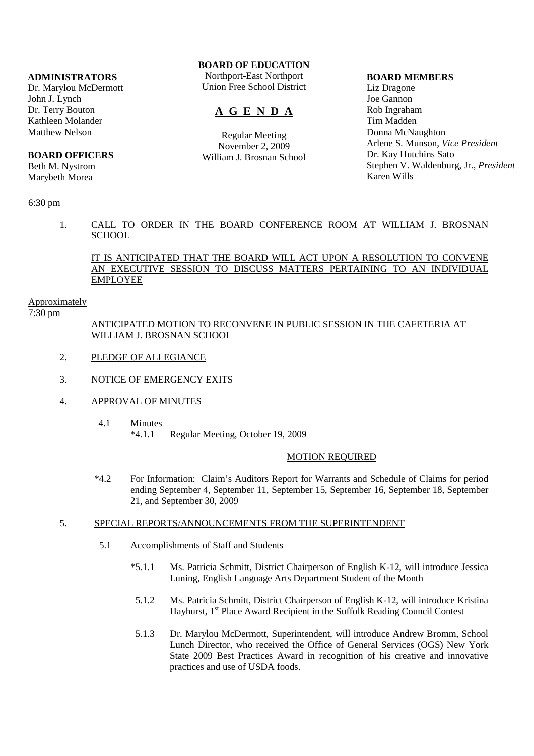### **ADMINISTRATORS**

Dr. Marylou McDermott John J. Lynch Dr. Terry Bouton Kathleen Molander Matthew Nelson

# **BOARD OFFICERS**

Beth M. Nystrom Marybeth Morea

### 6:30 pm

# **BOARD OF EDUCATION**

Northport-East Northport Union Free School District

# **A G E N D A**

Regular Meeting November 2, 2009 William J. Brosnan School

#### **BOARD MEMBERS**

Liz Dragone Joe Gannon Rob Ingraham Tim Madden Donna McNaughton Arlene S. Munson, *Vice President* Dr. Kay Hutchins Sato Stephen V. Waldenburg, Jr., *President* Karen Wills

## 1. CALL TO ORDER IN THE BOARD CONFERENCE ROOM AT WILLIAM J. BROSNAN **SCHOOL**

### IT IS ANTICIPATED THAT THE BOARD WILL ACT UPON A RESOLUTION TO CONVENE AN EXECUTIVE SESSION TO DISCUSS MATTERS PERTAINING TO AN INDIVIDUAL EMPLOYEE

### Approximately

7:30 pm

## ANTICIPATED MOTION TO RECONVENE IN PUBLIC SESSION IN THE CAFETERIA AT WILLIAM J. BROSNAN SCHOOL

- 2. PLEDGE OF ALLEGIANCE
- 3. NOTICE OF EMERGENCY EXITS
- 4. APPROVAL OF MINUTES
	- 4.1 Minutes \*4.1.1 Regular Meeting, October 19, 2009

### MOTION REQUIRED

 \*4.2 For Information: Claim's Auditors Report for Warrants and Schedule of Claims for period ending September 4, September 11, September 15, September 16, September 18, September 21, and September 30, 2009

## 5. SPECIAL REPORTS/ANNOUNCEMENTS FROM THE SUPERINTENDENT

- 5.1 Accomplishments of Staff and Students
	- \*5.1.1 Ms. Patricia Schmitt, District Chairperson of English K-12, will introduce Jessica Luning, English Language Arts Department Student of the Month
	- 5.1.2 Ms. Patricia Schmitt, District Chairperson of English K-12, will introduce Kristina Hayhurst, 1<sup>st</sup> Place Award Recipient in the Suffolk Reading Council Contest
	- 5.1.3 Dr. Marylou McDermott, Superintendent, will introduce Andrew Bromm, School Lunch Director, who received the Office of General Services (OGS) New York State 2009 Best Practices Award in recognition of his creative and innovative practices and use of USDA foods.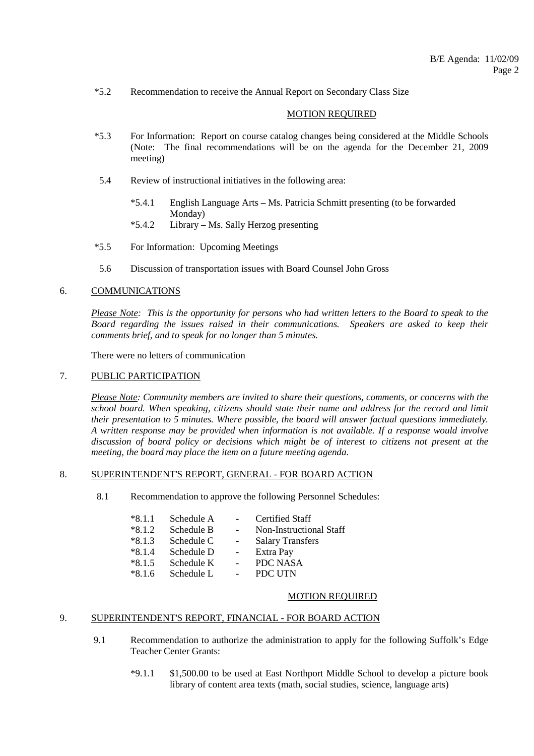\*5.2 Recommendation to receive the Annual Report on Secondary Class Size

### MOTION REQUIRED

- \*5.3 For Information: Report on course catalog changes being considered at the Middle Schools (Note: The final recommendations will be on the agenda for the December 21, 2009 meeting)
- 5.4 Review of instructional initiatives in the following area:
	- \*5.4.1 English Language Arts Ms. Patricia Schmitt presenting (to be forwarded Monday)
	- \*5.4.2 Library Ms. Sally Herzog presenting
- \*5.5 For Information: Upcoming Meetings
- 5.6 Discussion of transportation issues with Board Counsel John Gross

## 6. COMMUNICATIONS

*Please Note: This is the opportunity for persons who had written letters to the Board to speak to the Board regarding the issues raised in their communications. Speakers are asked to keep their comments brief, and to speak for no longer than 5 minutes.*

There were no letters of communication

#### 7. PUBLIC PARTICIPATION

*Please Note: Community members are invited to share their questions, comments, or concerns with the school board. When speaking, citizens should state their name and address for the record and limit their presentation to 5 minutes. Where possible, the board will answer factual questions immediately. A written response may be provided when information is not available. If a response would involve discussion of board policy or decisions which might be of interest to citizens not present at the meeting, the board may place the item on a future meeting agenda*.

#### 8. SUPERINTENDENT'S REPORT, GENERAL - FOR BOARD ACTION

8.1 Recommendation to approve the following Personnel Schedules:

| $*8.1.1$ | Schedule A |                          | <b>Certified Staff</b>  |
|----------|------------|--------------------------|-------------------------|
| $*8.1.2$ | Schedule B |                          | Non-Instructional Staff |
| $*8.1.3$ | Schedule C | $\overline{\phantom{0}}$ | <b>Salary Transfers</b> |
| $*8.1.4$ | Schedule D |                          | Extra Pay               |
| $*8.1.5$ | Schedule K |                          | <b>PDC NASA</b>         |
| $*816$   | Schedule L |                          | PDC UTN                 |

### MOTION REQUIRED

## 9. SUPERINTENDENT'S REPORT, FINANCIAL - FOR BOARD ACTION

- 9.1 Recommendation to authorize the administration to apply for the following Suffolk's Edge Teacher Center Grants:
	- \*9.1.1 \$1,500.00 to be used at East Northport Middle School to develop a picture book library of content area texts (math, social studies, science, language arts)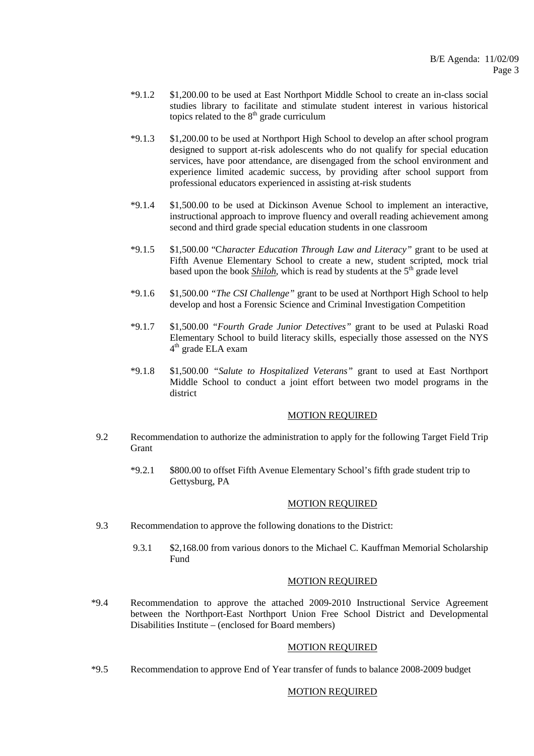- \*9.1.2 \$1,200.00 to be used at East Northport Middle School to create an in-class social studies library to facilitate and stimulate student interest in various historical topics related to the  $8<sup>th</sup>$  grade curriculum
- \*9.1.3 \$1,200.00 to be used at Northport High School to develop an after school program designed to support at-risk adolescents who do not qualify for special education services, have poor attendance, are disengaged from the school environment and experience limited academic success, by providing after school support from professional educators experienced in assisting at-risk students
- \*9.1.4 \$1,500.00 to be used at Dickinson Avenue School to implement an interactive, instructional approach to improve fluency and overall reading achievement among second and third grade special education students in one classroom
- \*9.1.5 \$1,500.00 "C*haracter Education Through Law and Literacy"* grant to be used at Fifth Avenue Elementary School to create a new, student scripted, mock trial based upon the book *Shiloh*, which is read by students at the 5<sup>th</sup> grade level
- \*9.1.6 \$1,500.00 *"The CSI Challenge"* grant to be used at Northport High School to help develop and host a Forensic Science and Criminal Investigation Competition
- \*9.1.7 \$1,500.00 *"Fourth Grade Junior Detectives"* grant to be used at Pulaski Road Elementary School to build literacy skills, especially those assessed on the NYS 4 th grade ELA exam
- \*9.1.8 \$1,500.00 *"Salute to Hospitalized Veterans"* grant to used at East Northport Middle School to conduct a joint effort between two model programs in the district

### MOTION REQUIRED

- 9.2 Recommendation to authorize the administration to apply for the following Target Field Trip **Grant** 
	- \*9.2.1 \$800.00 to offset Fifth Avenue Elementary School's fifth grade student trip to Gettysburg, PA

#### MOTION REQUIRED

- 9.3 Recommendation to approve the following donations to the District:
	- 9.3.1 \$2,168.00 from various donors to the Michael C. Kauffman Memorial Scholarship Fund

#### MOTION REQUIRED

 \*9.4 Recommendation to approve the attached 2009-2010 Instructional Service Agreement between the Northport-East Northport Union Free School District and Developmental Disabilities Institute – (enclosed for Board members)

### MOTION REQUIRED

\*9.5 Recommendation to approve End of Year transfer of funds to balance 2008-2009 budget

### MOTION REQUIRED